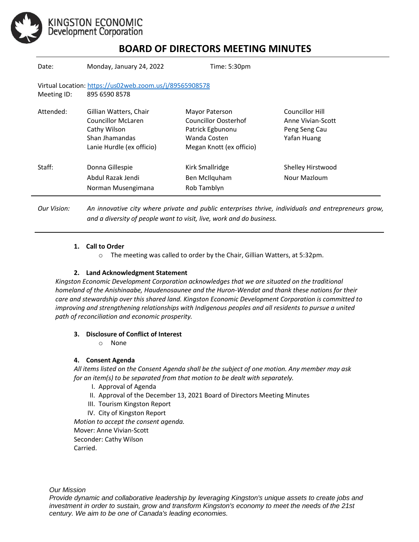

## **BOARD OF DIRECTORS MEETING MINUTES**

| Date:                                                                                   | Monday, January 24, 2022                                                                                           | Time: 5:30pm                                                                                           |                                                                      |
|-----------------------------------------------------------------------------------------|--------------------------------------------------------------------------------------------------------------------|--------------------------------------------------------------------------------------------------------|----------------------------------------------------------------------|
| Virtual Location: https://us02web.zoom.us/j/89565908578<br>895 6590 8578<br>Meeting ID: |                                                                                                                    |                                                                                                        |                                                                      |
| Attended:                                                                               | Gillian Watters, Chair<br><b>Councillor McLaren</b><br>Cathy Wilson<br>Shan Ihamandas<br>Lanie Hurdle (ex officio) | Mayor Paterson<br>Councillor Oosterhof<br>Patrick Egbunonu<br>Wanda Costen<br>Megan Knott (ex officio) | Councillor Hill<br>Anne Vivian-Scott<br>Peng Seng Cau<br>Yafan Huang |
| Staff:                                                                                  | Donna Gillespie<br>Abdul Razak Jendi<br>Norman Musengimana                                                         | Kirk Smallridge<br>Ben McIlquham<br>Rob Tamblyn                                                        | Shelley Hirstwood<br>Nour Mazloum                                    |

*Our Vision: An innovative city where private and public enterprises thrive, individuals and entrepreneurs grow, and a diversity of people want to visit, live, work and do business.*

#### **1. Call to Order**

o The meeting was called to order by the Chair, Gillian Watters, at 5:32pm.

#### **2. Land Acknowledgment Statement**

*Kingston Economic Development Corporation acknowledges that we are situated on the traditional homeland of the Anishinaabe, Haudenosaunee and the Huron-Wendat and thank these nations for their care and stewardship over this shared land. Kingston Economic Development Corporation is committed to improving and strengthening relationships with Indigenous peoples and all residents to pursue a united path of reconciliation and economic prosperity.*

#### **3. Disclosure of Conflict of Interest**

o None

#### **4. Consent Agenda**

*All items listed on the Consent Agenda shall be the subject of one motion. Any member may ask for an item(s) to be separated from that motion to be dealt with separately.*

- I. Approval of Agenda
- II. Approval of the December 13, 2021 Board of Directors Meeting Minutes
- III. Tourism Kingston Report
- IV. City of Kingston Report

*Motion to accept the consent agenda.*  Mover: Anne Vivian-Scott Seconder: Cathy Wilson

Carried.

*Our Mission*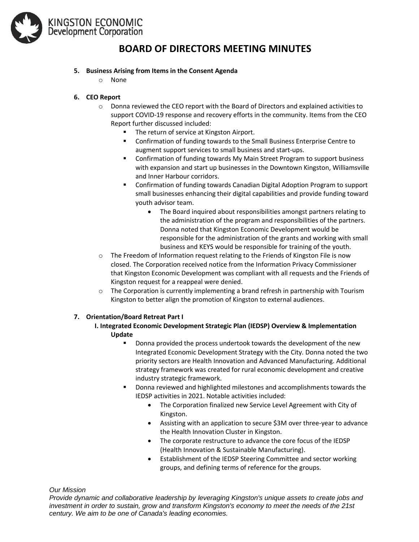

### **BOARD OF DIRECTORS MEETING MINUTES**

#### **5. Business Arising from Items in the Consent Agenda**

o None

#### **6. CEO Report**

- $\circ$  Donna reviewed the CEO report with the Board of Directors and explained activities to support COVID-19 response and recovery efforts in the community. Items from the CEO Report further discussed included:
	- The return of service at Kingston Airport.
	- Confirmation of funding towards to the Small Business Enterprise Centre to augment support services to small business and start-ups.
	- Confirmation of funding towards My Main Street Program to support business with expansion and start up businesses in the Downtown Kingston, Williamsville and Inner Harbour corridors.
	- Confirmation of funding towards Canadian Digital Adoption Program to support small businesses enhancing their digital capabilities and provide funding toward youth advisor team.
		- The Board inquired about responsibilities amongst partners relating to the administration of the program and responsibilities of the partners. Donna noted that Kingston Economic Development would be responsible for the administration of the grants and working with small business and KEYS would be responsible for training of the youth.
- o The Freedom of Information request relating to the Friends of Kingston File is now closed. The Corporation received notice from the Information Privacy Commissioner that Kingston Economic Development was compliant with all requests and the Friends of Kingston request for a reappeal were denied.
- $\circ$  The Corporation is currently implementing a brand refresh in partnership with Tourism Kingston to better align the promotion of Kingston to external audiences.

#### **7. Orientation/Board Retreat Part I**

#### **I. Integrated Economic Development Strategic Plan (IEDSP) Overview & Implementation Update**

- Donna provided the process undertook towards the development of the new Integrated Economic Development Strategy with the City. Donna noted the two priority sectors are Health Innovation and Advanced Manufacturing. Additional strategy framework was created for rural economic development and creative industry strategic framework.
- Donna reviewed and highlighted milestones and accomplishments towards the IEDSP activities in 2021. Notable activities included:
	- The Corporation finalized new Service Level Agreement with City of Kingston.
	- Assisting with an application to secure \$3M over three-year to advance the Health Innovation Cluster in Kingston.
	- The corporate restructure to advance the core focus of the IEDSP (Health Innovation & Sustainable Manufacturing).
	- Establishment of the IEDSP Steering Committee and sector working groups, and defining terms of reference for the groups.

*Our Mission*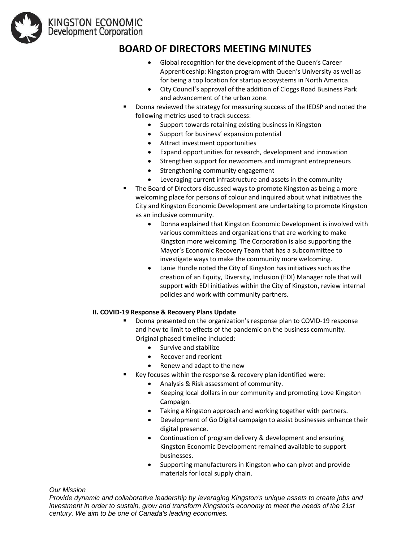

### **BOARD OF DIRECTORS MEETING MINUTES**

- Global recognition for the development of the Queen's Career Apprenticeship: Kingston program with Queen's University as well as for being a top location for startup ecosystems in North America.
- City Council's approval of the addition of Cloggs Road Business Park and advancement of the urban zone.
- Donna reviewed the strategy for measuring success of the IEDSP and noted the following metrics used to track success:
	- Support towards retaining existing business in Kingston
	- Support for business' expansion potential
	- Attract investment opportunities
	- Expand opportunities for research, development and innovation
	- Strengthen support for newcomers and immigrant entrepreneurs
	- Strengthening community engagement
	- Leveraging current infrastructure and assets in the community
- The Board of Directors discussed ways to promote Kingston as being a more welcoming place for persons of colour and inquired about what initiatives the City and Kingston Economic Development are undertaking to promote Kingston as an inclusive community.
	- Donna explained that Kingston Economic Development is involved with various committees and organizations that are working to make Kingston more welcoming. The Corporation is also supporting the Mayor's Economic Recovery Team that has a subcommittee to investigate ways to make the community more welcoming.
	- Lanie Hurdle noted the City of Kingston has initiatives such as the creation of an Equity, Diversity, Inclusion (EDI) Manager role that will support with EDI initiatives within the City of Kingston, review internal policies and work with community partners.

#### **II. COVID-19 Response & Recovery Plans Update**

- Donna presented on the organization's response plan to COVID-19 response and how to limit to effects of the pandemic on the business community. Original phased timeline included:
	- Survive and stabilize
	- Recover and reorient
	- Renew and adapt to the new
- Key focuses within the response & recovery plan identified were:
	- Analysis & Risk assessment of community.
	- Keeping local dollars in our community and promoting Love Kingston Campaign.
	- Taking a Kingston approach and working together with partners.
	- Development of Go Digital campaign to assist businesses enhance their digital presence.
	- Continuation of program delivery & development and ensuring Kingston Economic Development remained available to support businesses.
	- Supporting manufacturers in Kingston who can pivot and provide materials for local supply chain.

*Our Mission*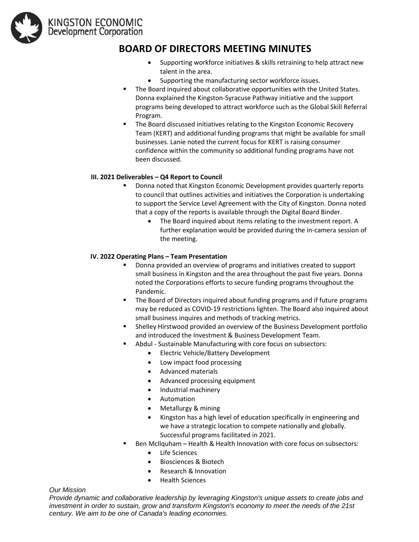

### **BOARD OF DIRECTORS MEETING MINUTES**

- Supporting workforce initiatives & skills retraining to help attract new talent in the area.
- Supporting the manufacturing sector workforce issues.
- The Board inquired about collaborative opportunities with the United States. Donna explained the Kingston-Syracuse Pathway initiative and the support programs being developed to attract workforce such as the Global Skill Referral Program.
- The Board discussed initiatives relating to the Kingston Economic Recovery Team (KERT) and additional funding programs that might be available for small businesses. Lanie noted the current focus for KERT is raising consumer confidence within the community so additional funding programs have not been discussed.

#### **III. 2021 Deliverables – Q4 Report to Council**

- Donna noted that Kingston Economic Development provides quarterly reports to council that outlines activities and initiatives the Corporation is undertaking to support the Service Level Agreement with the City of Kingston. Donna noted that a copy of the reports is available through the Digital Board Binder.
	- The Board inquired about items relating to the investment report. A further explanation would be provided during the in-camera session of the meeting.

#### **IV. 2022 Operating Plans – Team Presentation**

- Donna provided an overview of programs and initiatives created to support small business in Kingston and the area throughout the past five years. Donna noted the Corporations efforts to secure funding programs throughout the Pandemic.
- The Board of Directors inquired about funding programs and if future programs may be reduced as COVID-19 restrictions lighten. The Board also inquired about small business inquires and methods of tracking metrics.
- **EXECT** Shelley Hirstwood provided an overview of the Business Development portfolio and introduced the Investment & Business Development Team.
- Abdul Sustainable Manufacturing with core focus on subsectors:
	- Electric Vehicle/Battery Development
	- Low impact food processing
	- Advanced materials
	- Advanced processing equipment
	- Industrial machinery
	- Automation
	- Metallurgy & mining
	- Kingston has a high level of education specifically in engineering and we have a strategic location to compete nationally and globally. Successful programs facilitated in 2021.
- Ben McIlquham Health & Health Innovation with core focus on subsectors:
	- Life Sciences
	- Biosciences & Biotech
	- Research & Innovation
	- Health Sciences

#### *Our Mission*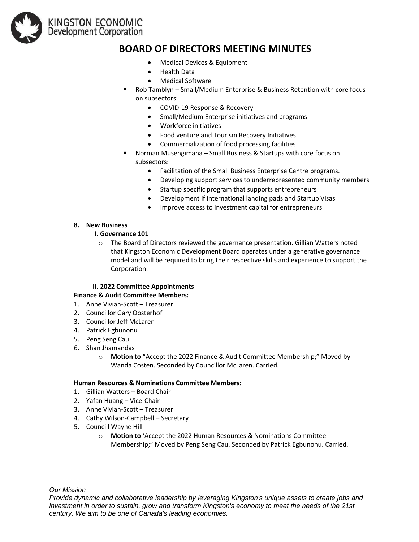

### **BOARD OF DIRECTORS MEETING MINUTES**

- Medical Devices & Equipment
- Health Data
- Medical Software
- Rob Tamblyn Small/Medium Enterprise & Business Retention with core focus on subsectors:
	- COVID-19 Response & Recovery
	- Small/Medium Enterprise initiatives and programs
	- Workforce initiatives
	- Food venture and Tourism Recovery Initiatives
	- Commercialization of food processing facilities
- Norman Musengimana Small Business & Startups with core focus on subsectors:
	- Facilitation of the Small Business Enterprise Centre programs.
	- Developing support services to underrepresented community members
	- Startup specific program that supports entrepreneurs
	- Development if international landing pads and Startup Visas
	- Improve access to investment capital for entrepreneurs

#### **8. New Business**

#### **I. Governance 101**

 $\circ$  The Board of Directors reviewed the governance presentation. Gillian Watters noted that Kingston Economic Development Board operates under a generative governance model and will be required to bring their respective skills and experience to support the Corporation.

#### **II. 2022 Committee Appointments**

#### **Finance & Audit Committee Members:**

- 1. Anne Vivian-Scott Treasurer
- 2. Councillor Gary Oosterhof
- 3. Councillor Jeff McLaren
- 4. Patrick Egbunonu
- 5. Peng Seng Cau
- 6. Shan Jhamandas
	- o **Motion to** "Accept the 2022 Finance & Audit Committee Membership;" Moved by Wanda Costen. Seconded by Councillor McLaren. Carried.

#### **Human Resources & Nominations Committee Members:**

- 1. Gillian Watters Board Chair
- 2. Yafan Huang Vice-Chair
- 3. Anne Vivian-Scott Treasurer
- 4. Cathy Wilson-Campbell Secretary
- 5. Councill Wayne Hill
	- o **Motion to** 'Accept the 2022 Human Resources & Nominations Committee Membership;" Moved by Peng Seng Cau. Seconded by Patrick Egbunonu. Carried.

*Our Mission*